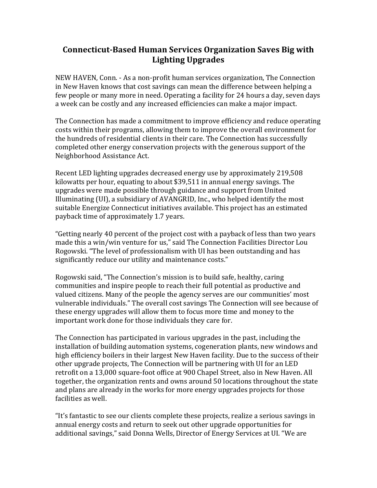## **Connecticut-Based Human Services Organization Saves Big with Lighting Upgrades**

NEW HAVEN, Conn. - As a non-profit human services organization, The Connection in New Haven knows that cost savings can mean the difference between helping a few people or many more in need. Operating a facility for 24 hours a day, seven days a week can be costly and any increased efficiencies can make a major impact.

The Connection has made a commitment to improve efficiency and reduce operating costs within their programs, allowing them to improve the overall environment for the hundreds of residential clients in their care. The Connection has successfully completed other energy conservation projects with the generous support of the Neighborhood Assistance Act.

Recent LED lighting upgrades decreased energy use by approximately 219,508 kilowatts per hour, equating to about \$39,511 in annual energy savings. The upgrades were made possible through guidance and support from United Illuminating (UI), a subsidiary of AVANGRID, Inc., who helped identify the most suitable Energize Connecticut initiatives available. This project has an estimated payback time of approximately 1.7 years.

"Getting nearly 40 percent of the project cost with a payback of less than two years made this a win/win venture for us," said The Connection Facilities Director Lou Rogowski. "The level of professionalism with UI has been outstanding and has significantly reduce our utility and maintenance costs."

Rogowski said, "The Connection's mission is to build safe, healthy, caring communities and inspire people to reach their full potential as productive and valued citizens. Many of the people the agency serves are our communities' most vulnerable individuals." The overall cost savings The Connection will see because of these energy upgrades will allow them to focus more time and money to the important work done for those individuals they care for.

The Connection has participated in various upgrades in the past, including the installation of building automation systems, cogeneration plants, new windows and high efficiency boilers in their largest New Haven facility. Due to the success of their other upgrade projects, The Connection will be partnering with UI for an LED retrofit on a 13,000 square-foot office at 900 Chapel Street, also in New Haven. All together, the organization rents and owns around 50 locations throughout the state and plans are already in the works for more energy upgrades projects for those facilities as well.

"It's fantastic to see our clients complete these projects, realize a serious savings in annual energy costs and return to seek out other upgrade opportunities for additional savings," said Donna Wells, Director of Energy Services at UI. "We are